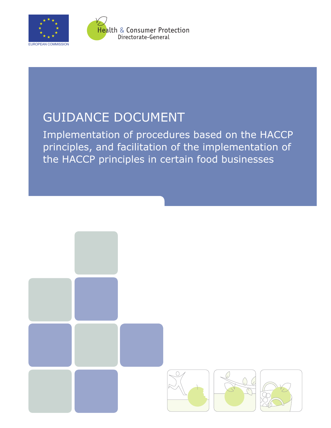



Health & Consumer Protection Directorate-General

# GUIDANCE DOCUMENT

Implementation of procedures based on the HACCP principles, and facilitation of the implementation of the HACCP principles in certain food businesses

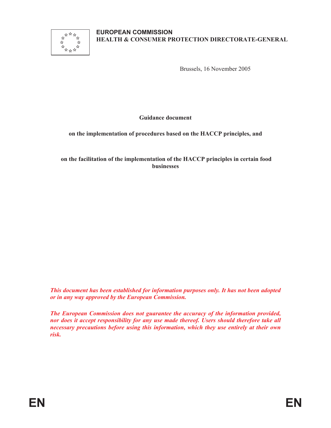

**EUROPEAN COMMISSION HEALTH & CONSUMER PROTECTION DIRECTORATE-GENERAL**

Brussels, 16 November 2005

**Guidance document** 

**on the implementation of procedures based on the HACCP principles, and** 

 **on the facilitation of the implementation of the HACCP principles in certain food businesses**

*This document has been established for information purposes only. It has not been adopted or in any way approved by the European Commission.* 

*The European Commission does not guarantee the accuracy of the information provided, nor does it accept responsibility for any use made thereof. Users should therefore take all necessary precautions before using this information, which they use entirely at their own risk.*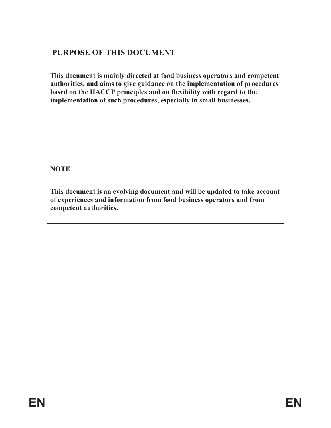## **PURPOSE OF THIS DOCUMENT**

**This document is mainly directed at food business operators and competent authorities, and aims to give guidance on the implementation of procedures based on the HACCP principles and on flexibility with regard to the implementation of such procedures, especially in small businesses.** 

**NOTE** 

**This document is an evolving document and will be updated to take account of experiences and information from food business operators and from competent authorities.**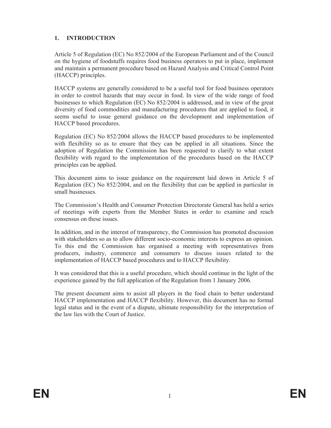## **1. INTRODUCTION**

Article 5 of Regulation (EC) No 852/2004 of the European Parliament and of the Council on the hygiene of foodstuffs requires food business operators to put in place, implement and maintain a permanent procedure based on Hazard Analysis and Critical Control Point (HACCP) principles.

HACCP systems are generally considered to be a useful tool for food business operators in order to control hazards that may occur in food. In view of the wide range of food businesses to which Regulation (EC) No 852/2004 is addressed, and in view of the great diversity of food commodities and manufacturing procedures that are applied to food, it seems useful to issue general guidance on the development and implementation of HACCP based procedures.

Regulation (EC) No 852/2004 allows the HACCP based procedures to be implemented with flexibility so as to ensure that they can be applied in all situations. Since the adoption of Regulation the Commission has been requested to clarify to what extent flexibility with regard to the implementation of the procedures based on the HACCP principles can be applied.

This document aims to issue guidance on the requirement laid down in Article 5 of Regulation (EC) No 852/2004, and on the flexibility that can be applied in particular in small businesses.

The Commission's Health and Consumer Protection Directorate General has held a series of meetings with experts from the Member States in order to examine and reach consensus on these issues.

In addition, and in the interest of transparency, the Commission has promoted discussion with stakeholders so as to allow different socio-economic interests to express an opinion. To this end the Commission has organised a meeting with representatives from producers, industry, commerce and consumers to discuss issues related to the implementation of HACCP based procedures and to HACCP flexibility.

It was considered that this is a useful procedure, which should continue in the light of the experience gained by the full application of the Regulation from 1 January 2006.

The present document aims to assist all players in the food chain to better understand HACCP implementation and HACCP flexibility. However, this document has no formal legal status and in the event of a dispute, ultimate responsibility for the interpretation of the law lies with the Court of Justice.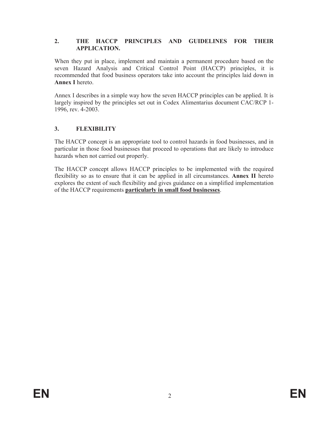#### **2. THE HACCP PRINCIPLES AND GUIDELINES FOR THEIR APPLICATION.**

When they put in place, implement and maintain a permanent procedure based on the seven Hazard Analysis and Critical Control Point (HACCP) principles, it is recommended that food business operators take into account the principles laid down in **Annex I** hereto.

Annex I describes in a simple way how the seven HACCP principles can be applied. It is largely inspired by the principles set out in Codex Alimentarius document CAC/RCP 1- 1996, rev. 4-2003.

#### **3. FLEXIBILITY**

The HACCP concept is an appropriate tool to control hazards in food businesses, and in particular in those food businesses that proceed to operations that are likely to introduce hazards when not carried out properly.

The HACCP concept allows HACCP principles to be implemented with the required flexibility so as to ensure that it can be applied in all circumstances. **Annex II** hereto explores the extent of such flexibility and gives guidance on a simplified implementation of the HACCP requirements **particularly in small food businesses**.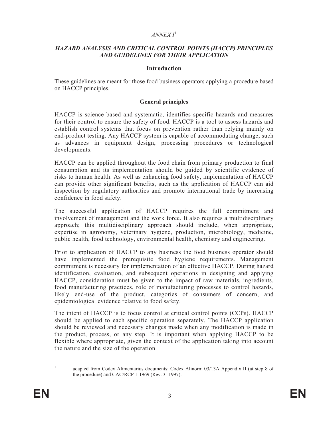#### $ANNEXI<sup>1</sup>$

#### *HAZARD ANALYSIS AND CRITICAL CONTROL POINTS (HACCP) PRINCIPLES AND GUIDELINES FOR THEIR APPLICATION*

#### **Introduction**

These guidelines are meant for those food business operators applying a procedure based on HACCP principles.

#### **General principles**

HACCP is science based and systematic, identifies specific hazards and measures for their control to ensure the safety of food. HACCP is a tool to assess hazards and establish control systems that focus on prevention rather than relying mainly on end-product testing. Any HACCP system is capable of accommodating change, such as advances in equipment design, processing procedures or technological developments.

HACCP can be applied throughout the food chain from primary production to final consumption and its implementation should be guided by scientific evidence of risks to human health. As well as enhancing food safety, implementation of HACCP can provide other significant benefits, such as the application of HACCP can aid inspection by regulatory authorities and promote international trade by increasing confidence in food safety.

The successful application of HACCP requires the full commitment and involvement of management and the work force. It also requires a multidisciplinary approach; this multidisciplinary approach should include, when appropriate, expertise in agronomy, veterinary hygiene, production, microbiology, medicine, public health, food technology, environmental health, chemistry and engineering.

Prior to application of HACCP to any business the food business operator should have implemented the prerequisite food hygiene requirements. Management commitment is necessary for implementation of an effective HACCP. During hazard identification, evaluation, and subsequent operations in designing and applying HACCP, consideration must be given to the impact of raw materials, ingredients, food manufacturing practices, role of manufacturing processes to control hazards, likely end-use of the product, categories of consumers of concern, and epidemiological evidence relative to food safety.

The intent of HACCP is to focus control at critical control points (CCPs). HACCP should be applied to each specific operation separately. The HACCP application should be reviewed and necessary changes made when any modification is made in the product, process, or any step. It is important when applying HACCP to be flexible where appropriate, given the context of the application taking into account the nature and the size of the operation.

1

adapted from Codex Alimentarius documents: Codex Alinorm 03/13A Appendix II (at step 8 of the procedure) and CAC/RCP 1-1969 (Rev. 3- 1997).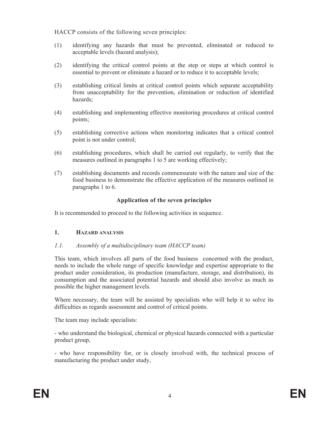HACCP consists of the following seven principles:

- (1) identifying any hazards that must be prevented, eliminated or reduced to acceptable levels (hazard analysis);
- (2) identifying the critical control points at the step or steps at which control is essential to prevent or eliminate a hazard or to reduce it to acceptable levels;
- (3) establishing critical limits at critical control points which separate acceptability from unacceptability for the prevention, elimination or reduction of identified hazards;
- (4) establishing and implementing effective monitoring procedures at critical control points;
- (5) establishing corrective actions when monitoring indicates that a critical control point is not under control;
- (6) establishing procedures, which shall be carried out regularly, to verify that the measures outlined in paragraphs 1 to 5 are working effectively;
- (7) establishing documents and records commensurate with the nature and size of the food business to demonstrate the effective application of the measures outlined in paragraphs 1 to 6.

## **Application of the seven principles**

It is recommended to proceed to the following activities in sequence.

## **1. HAZARD ANALYSIS**

## *1.1. Assembly of a multidisciplinary team (HACCP team)*

This team, which involves all parts of the food business concerned with the product, needs to include the whole range of specific knowledge and expertise appropriate to the product under consideration, its production (manufacture, storage, and distribution), its consumption and the associated potential hazards and should also involve as much as possible the higher management levels.

Where necessary, the team will be assisted by specialists who will help it to solve its difficulties as regards assessment and control of critical points.

The team may include specialists:

- who understand the biological, chemical or physical hazards connected with a particular product group,

- who have responsibility for, or is closely involved with, the technical process of manufacturing the product under study,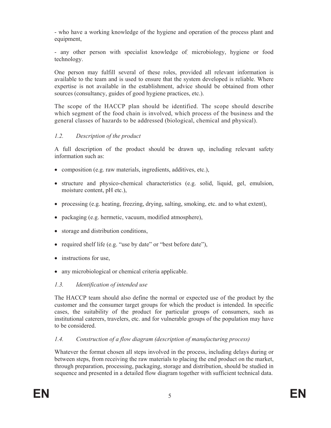- who have a working knowledge of the hygiene and operation of the process plant and equipment,

- any other person with specialist knowledge of. microbiology, hygiene or food technology.

One person may fulfill several of these roles, provided all relevant information is available to the team and is used to ensure that the system developed is reliable. Where expertise is not available in the establishment, advice should be obtained from other sources (consultancy, guides of good hygiene practices, etc.).

The scope of the HACCP plan should be identified. The scope should describe which segment of the food chain is involved, which process of the business and the general classes of hazards to be addressed (biological, chemical and physical).

## *1.2. Description of the product*

A full description of the product should be drawn up, including relevant safety information such as:

- composition (e.g. raw materials, ingredients, additives, etc.),
- $\bullet$  structure and physico-chemical characteristics (e.g. solid, liquid, gel, emulsion, moisture content, pH etc.),
- processing (e.g. heating, freezing, drying, salting, smoking, etc. and to what extent),
- packaging (e.g. hermetic, vacuum, modified atmosphere),
- storage and distribution conditions,
- required shelf life (e.g. "use by date" or "best before date"),
- $\bullet$  instructions for use,
- any microbiological or chemical criteria applicable.

## *1.3. Identification of intended use*

The HACCP team should also define the normal or expected use of the product by the customer and the consumer target groups for which the product is intended. In specific cases, the suitability of the product for particular groups of consumers, such as institutional caterers, travelers, etc. and for vulnerable groups of the population may have to be considered.

## *1.4. Construction of a flow diagram (description of manufacturing process)*

Whatever the format chosen all steps involved in the process, including delays during or between steps, from receiving the raw materials to placing the end product on the market, through preparation, processing, packaging, storage and distribution, should be studied in sequence and presented in a detailed flow diagram together with sufficient technical data.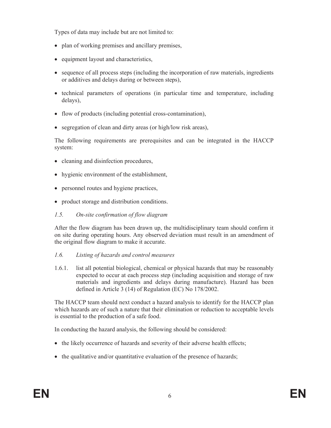Types of data may include but are not limited to:

- plan of working premises and ancillary premises,
- equipment layout and characteristics,
- sequence of all process steps (including the incorporation of raw materials, ingredients or additives and delays during or between steps),
- x technical parameters of operations (in particular time and temperature, including delays),
- flow of products (including potential cross-contamination),
- segregation of clean and dirty areas (or high/low risk areas),

The following requirements are prerequisites and can be integrated in the HACCP system:

- cleaning and disinfection procedures,
- hygienic environment of the establishment,
- personnel routes and hygiene practices,
- product storage and distribution conditions.
- *1.5. On-site confirmation of flow diagram*

After the flow diagram has been drawn up, the multidisciplinary team should confirm it on site during operating hours. Any observed deviation must result in an amendment of the original flow diagram to make it accurate.

- *1.6. Listing of hazards and control measures*
- 1.6.1. list all potential biological, chemical or physical hazards that may be reasonably expected to occur at each process step (including acquisition and storage of raw materials and ingredients and delays during manufacture). Hazard has been defined in Article 3 (14) of Regulation (EC) No 178/2002.

The HACCP team should next conduct a hazard analysis to identify for the HACCP plan which hazards are of such a nature that their elimination or reduction to acceptable levels is essential to the production of a safe food.

In conducting the hazard analysis, the following should be considered:

- $\bullet$  the likely occurrence of hazards and severity of their adverse health effects;
- the qualitative and/or quantitative evaluation of the presence of hazards;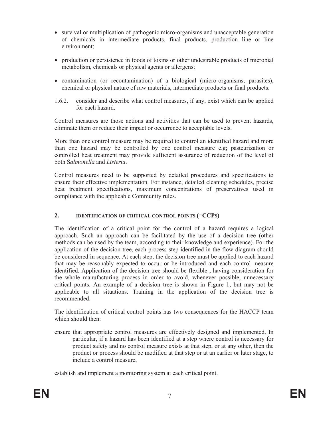- survival or multiplication of pathogenic micro-organisms and unacceptable generation of chemicals in intermediate products, final products, production line or line environment;
- production or persistence in foods of toxins or other undesirable products of microbial metabolism, chemicals or physical agents or allergens;
- contamination (or recontamination) of a biological (micro-organisms, parasites), chemical or physical nature of raw materials, intermediate products or final products.
- 1.6.2. consider and describe what control measures, if any, exist which can be applied for each hazard.

Control measures are those actions and activities that can be used to prevent hazards, eliminate them or reduce their impact or occurrence to acceptable levels.

More than one control measure may be required to control an identified hazard and more than one hazard may be controlled by one control measure e.g; pasteurization or controlled heat treatment may provide sufficient assurance of reduction of the level of both S*almonella* and *Listeria*.

Control measures need to be supported by detailed procedures and specifications to ensure their effective implementation. For instance, detailed cleaning schedules, precise heat treatment specifications, maximum concentrations of preservatives used in compliance with the applicable Community rules.

#### **2. IDENTIFICATION OF CRITICAL CONTROL POINTS (=CCPS)**

The identification of a critical point for the control of a hazard requires a logical approach. Such an approach can be facilitated by the use of a decision tree (other methods can be used by the team, according to their knowledge and experience). For the application of the decision tree, each process step identified in the flow diagram should be considered in sequence. At each step, the decision tree must be applied to each hazard that may be reasonably expected to occur or be introduced and each control measure identified. Application of the decision tree should be flexible , having consideration for the whole manufacturing process in order to avoid, whenever possible, unnecessary critical points. An example of a decision tree is shown in Figure 1, but may not be applicable to all situations. Training in the application of the decision tree is recommended.

The identification of critical control points has two consequences for the HACCP team which should then:

ensure that appropriate control measures are effectively designed and implemented. In particular, if a hazard has been identified at a step where control is necessary for product safety and no control measure exists at that step, or at any other, then the product or process should be modified at that step or at an earlier or later stage, to include a control measure,

establish and implement a monitoring system at each critical point.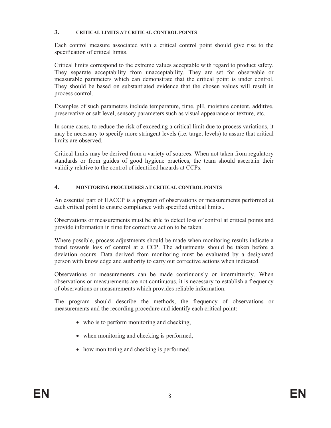#### **3. CRITICAL LIMITS AT CRITICAL CONTROL POINTS**

Each control measure associated with a critical control point should give rise to the specification of critical limits.

Critical limits correspond to the extreme values acceptable with regard to product safety. They separate acceptability from unacceptability. They are set for observable or measurable parameters which can demonstrate that the critical point is under control. They should be based on substantiated evidence that the chosen values will result in process control.

Examples of such parameters include temperature, time, pH, moisture content, additive, preservative or salt level, sensory parameters such as visual appearance or texture, etc.

In some cases, to reduce the risk of exceeding a critical limit due to process variations, it may be necessary to specify more stringent levels (i.e. target levels) to assure that critical limits are observed.

Critical limits may be derived from a variety of sources. When not taken from regulatory standards or from guides of good hygiene practices, the team should ascertain their validity relative to the control of identified hazards at CCPs.

#### **4. MONITORING PROCEDURES AT CRITICAL CONTROL POINTS**

An essential part of HACCP is a program of observations or measurements performed at each critical point to ensure compliance with specified critical limits..

Observations or measurements must be able to detect loss of control at critical points and provide information in time for corrective action to be taken.

Where possible, process adjustments should be made when monitoring results indicate a trend towards loss of control at a CCP. The adjustments should be taken before a deviation occurs. Data derived from monitoring must be evaluated by a designated person with knowledge and authority to carry out corrective actions when indicated.

Observations or measurements can be made continuously or intermittently. When observations or measurements are not continuous, it is necessary to establish a frequency of observations or measurements which provides reliable information.

The program should describe the methods, the frequency of observations or measurements and the recording procedure and identify each critical point:

- $\bullet$  who is to perform monitoring and checking,
- when monitoring and checking is performed,
- how monitoring and checking is performed.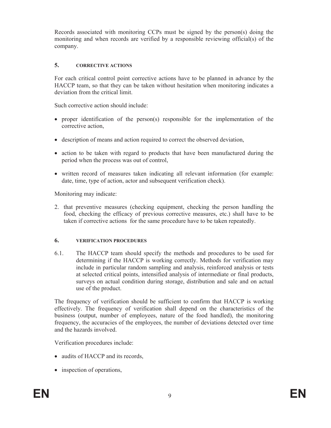Records associated with monitoring CCPs must be signed by the person(s) doing the monitoring and when records are verified by a responsible reviewing official(s) of the company.

#### **5. CORRECTIVE ACTIONS**

For each critical control point corrective actions have to be planned in advance by the HACCP team, so that they can be taken without hesitation when monitoring indicates a deviation from the critical limit.

Such corrective action should include:

- proper identification of the person(s) responsible for the implementation of the corrective action,
- description of means and action required to correct the observed deviation,
- action to be taken with regard to products that have been manufactured during the period when the process was out of control,
- written record of measures taken indicating all relevant information (for example: date, time, type of action, actor and subsequent verification check).

Monitoring may indicate:

2. that preventive measures (checking equipment, checking the person handling the food, checking the efficacy of previous corrective measures, etc.) shall have to be taken if corrective actions for the same procedure have to be taken repeatedly.

## **6. VERIFICATION PROCEDURES**

6.1. The HACCP team should specify the methods and procedures to be used for determining if the HACCP is working correctly. Methods for verification may include in particular random sampling and analysis, reinforced analysis or tests at selected critical points, intensified analysis of intermediate or final products, surveys on actual condition during storage, distribution and sale and on actual use of the product.

The frequency of verification should be sufficient to confirm that HACCP is working effectively. The frequency of verification shall depend on the characteristics of the business (output, number of employees, nature of the food handled), the monitoring frequency, the accuracies of the employees, the number of deviations detected over time and the hazards involved.

Verification procedures include:

- audits of HACCP and its records,
- inspection of operations,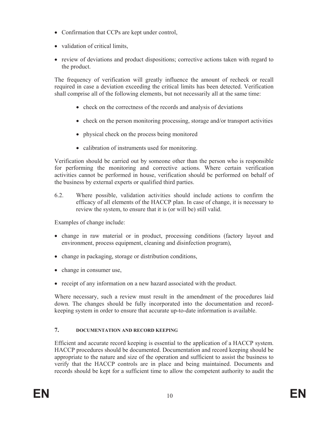- Confirmation that CCPs are kept under control,
- validation of critical limits,
- review of deviations and product dispositions; corrective actions taken with regard to the product.

The frequency of verification will greatly influence the amount of recheck or recall required in case a deviation exceeding the critical limits has been detected. Verification shall comprise all of the following elements, but not necessarily all at the same time:

- check on the correctness of the records and analysis of deviations
- $\bullet$  check on the person monitoring processing, storage and/or transport activities
- physical check on the process being monitored
- calibration of instruments used for monitoring.

Verification should be carried out by someone other than the person who is responsible for performing the monitoring and corrective actions. Where certain verification activities cannot be performed in house, verification should be performed on behalf of the business by external experts or qualified third parties.

6.2. Where possible, validation activities should include actions to confirm the efficacy of all elements of the HACCP plan. In case of change, it is necessary to review the system, to ensure that it is (or will be) still valid.

Examples of change include:

- change in raw material or in product, processing conditions (factory layout and environment, process equipment, cleaning and disinfection program),
- change in packaging, storage or distribution conditions,
- change in consumer use,
- receipt of any information on a new hazard associated with the product.

Where necessary, such a review must result in the amendment of the procedures laid down. The changes should be fully incorporated into the documentation and recordkeeping system in order to ensure that accurate up-to-date information is available.

## **7. DOCUMENTATION AND RECORD KEEPING**

Efficient and accurate record keeping is essential to the application of a HACCP system. HACCP procedures should be documented. Documentation and record keeping should be appropriate to the nature and size of the operation and sufficient to assist the business to verify that the HACCP controls are in place and being maintained. Documents and records should be kept for a sufficient time to allow the competent authority to audit the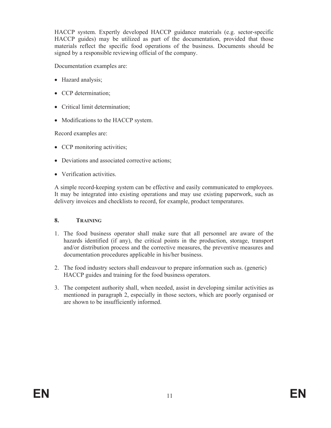HACCP system. Expertly developed HACCP guidance materials (e.g. sector-specific HACCP guides) may be utilized as part of the documentation, provided that those materials reflect the specific food operations of the business. Documents should be signed by a responsible reviewing official of the company.

Documentation examples are:

- Hazard analysis;
- CCP determination;
- Critical limit determination;
- Modifications to the HACCP system.

Record examples are:

- CCP monitoring activities;
- Deviations and associated corrective actions;
- Verification activities.

A simple record-keeping system can be effective and easily communicated to employees. It may be integrated into existing operations and may use existing paperwork, such as delivery invoices and checklists to record, for example, product temperatures.

## **8. TRAINING**

- 1. The food business operator shall make sure that all personnel are aware of the hazards identified (if any), the critical points in the production, storage, transport and/or distribution process and the corrective measures, the preventive measures and documentation procedures applicable in his/her business.
- 2. The food industry sectors shall endeavour to prepare information such as. (generic) HACCP guides and training for the food business operators.
- 3. The competent authority shall, when needed, assist in developing similar activities as mentioned in paragraph 2, especially in those sectors, which are poorly organised or are shown to be insufficiently informed.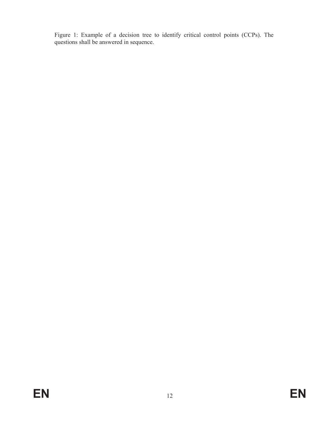Figure 1: Example of a decision tree to identify critical control points (CCPs). The questions shall be answered in sequence.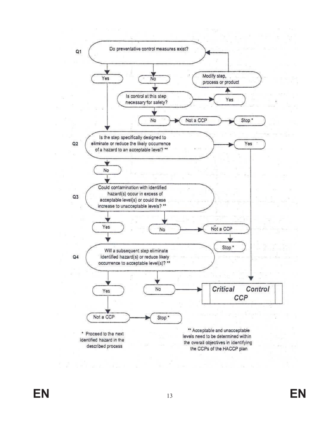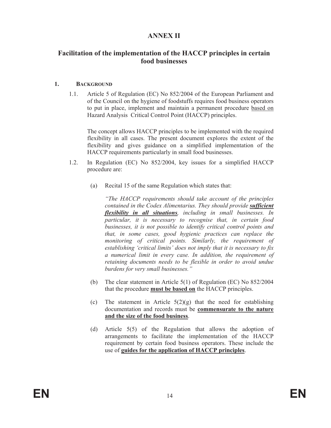## **ANNEX II**

## **Facilitation of the implementation of the HACCP principles in certain food businesses**

#### **1. BACKGROUND**

1.1. Article 5 of Regulation (EC) No 852/2004 of the European Parliament and of the Council on the hygiene of foodstuffs requires food business operators to put in place, implement and maintain a permanent procedure based on Hazard Analysis Critical Control Point (HACCP) principles.

The concept allows HACCP principles to be implemented with the required flexibility in all cases. The present document explores the extent of the flexibility and gives guidance on a simplified implementation of the HACCP requirements particularly in small food businesses.

- 1.2. In Regulation (EC) No 852/2004, key issues for a simplified HACCP procedure are:
	- (a) Recital 15 of the same Regulation which states that:

*"The HACCP requirements should take account of the principles contained in the Codex Alimentarius. They should provide sufficient flexibility in all situations, including in small businesses. In particular, it is necessary to recognise that, in certain food businesses, it is not possible to identify critical control points and that, in some cases, good hygienic practices can replace the monitoring of critical points. Similarly, the requirement of establishing 'critical limits' does not imply that it is necessary to fix a numerical limit in every case. In addition, the requirement of retaining documents needs to be flexible in order to avoid undue burdens for very small businesses."* 

- (b) The clear statement in Article 5(1) of Regulation (EC) No 852/2004 that the procedure **must be based on** the HACCP principles.
- (c) The statement in Article  $5(2)(g)$  that the need for establishing documentation and records must be **commensurate to the nature and the size of the food business**.
- (d) Article 5(5) of the Regulation that allows the adoption of arrangements to facilitate the implementation of the HACCP requirement by certain food business operators. These include the use of **guides for the application of HACCP principles**.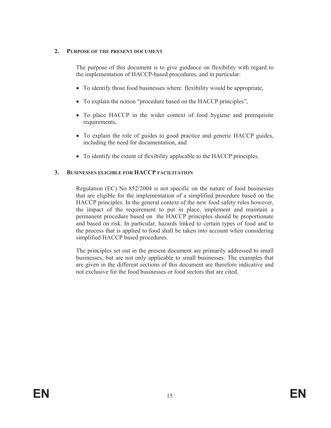#### **2. PURPOSE OF THE PRESENT DOCUMENT**

The purpose of this document is to give guidance on flexibility with regard to the implementation of HACCP-based procedures, and in particular:

- To identify those food businesses where flexibility would be appropriate,
- To explain the notion "procedure based on the HACCP principles",
- To place HACCP in the wider context of food hygiene and prerequisite requirements,
- To explain the role of guides to good practice and generic HACCP guides, including the need for documentation, and
- To identify the extent of flexibility applicable to the HACCP principles.

#### **3. BUSINESSES ELIGIBLE FOR HACCP FACILITATION**

Regulation (EC) No 852/2004 is not specific on the nature of food businesses that are eligible for the implementation of a simplified procedure based on the HACCP principles. In the general context of the new food safety rules however, the impact of the requirement to put in place, implement and maintain a permanent procedure based on the HACCP principles should be proportionate and based on risk. In particular, hazards linked to certain types of food and to the process that is applied to food shall be taken into account when considering simplified HACCP based procedures.

The principles set out in the present document are primarily addressed to small businesses, but are not only applicable to small businesses. The examples that are given in the different sections of this document are therefore indicative and not exclusive for the food businesses or food sectors that are cited.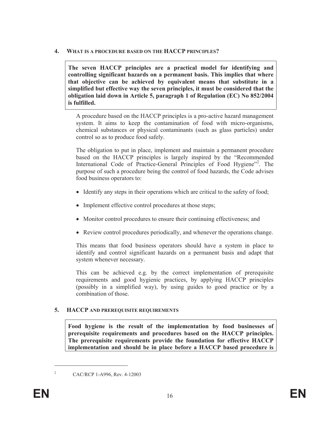#### **4. WHAT IS A PROCEDURE BASED ON THE HACCP PRINCIPLES?**

**The seven HACCP principles are a practical model for identifying and controlling significant hazards on a permanent basis. This implies that where that objective can be achieved by equivalent means that substitute in a simplified but effective way the seven principles, it must be considered that the obligation laid down in Article 5, paragraph 1 of Regulation (EC) No 852/2004 is fulfilled.** 

A procedure based on the HACCP principles is a pro-active hazard management system. It aims to keep the contamination of food with micro-organisms, chemical substances or physical contaminants (such as glass particles) under control so as to produce food safely.

The obligation to put in place, implement and maintain a permanent procedure based on the HACCP principles is largely inspired by the "Recommended International Code of Practice-General Principles of Food Hygiene"<sup>2</sup> . The purpose of such a procedure being the control of food hazards, the Code advises food business operators to:

- Identify any steps in their operations which are critical to the safety of food;
- Implement effective control procedures at those steps;
- Monitor control procedures to ensure their continuing effectiveness; and
- Review control procedures periodically, and whenever the operations change.

This means that food business operators should have a system in place to identify and control significant hazards on a permanent basis and adapt that system whenever necessary.

This can be achieved e.g. by the correct implementation of prerequisite requirements and good hygienic practices, by applying HACCP principles (possibly in a simplified way), by using guides to good practice or by a combination of those.

#### **5. HACCP AND PREREQUISITE REQUIREMENTS**

**Food hygiene is the result of the implementation by food businesses of prerequisite requirements and procedures based on the HACCP principles. The prerequisite requirements provide the foundation for effective HACCP implementation and should be in place before a HACCP based procedure is** 

2

CAC/RCP 1-A996, Rev. 4-12003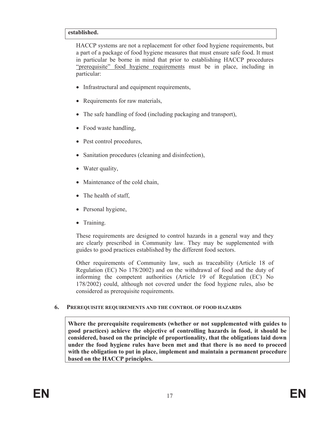#### **established.**

HACCP systems are not a replacement for other food hygiene requirements, but a part of a package of food hygiene measures that must ensure safe food. It must in particular be borne in mind that prior to establishing HACCP procedures "prerequisite" food hygiene requirements must be in place, including in particular:

- Infrastructural and equipment requirements,
- Requirements for raw materials,
- The safe handling of food (including packaging and transport),
- Food waste handling,
- Pest control procedures,
- Sanitation procedures (cleaning and disinfection),
- $\bullet$  Water quality,
- Maintenance of the cold chain,
- The health of staff,
- $\bullet$  Personal hygiene,
- Training.

These requirements are designed to control hazards in a general way and they are clearly prescribed in Community law. They may be supplemented with guides to good practices established by the different food sectors.

Other requirements of Community law, such as traceability (Article 18 of Regulation (EC) No 178/2002) and on the withdrawal of food and the duty of informing the competent authorities (Article 19 of Regulation (EC) No 178/2002) could, although not covered under the food hygiene rules, also be considered as prerequisite requirements.

#### **6. PREREQUISITE REQUIREMENTS AND THE CONTROL OF FOOD HAZARDS**

**Where the prerequisite requirements (whether or not supplemented with guides to good practices) achieve the objective of controlling hazards in food, it should be considered, based on the principle of proportionality, that the obligations laid down under the food hygiene rules have been met and that there is no need to proceed with the obligation to put in place, implement and maintain a permanent procedure based on the HACCP principles.**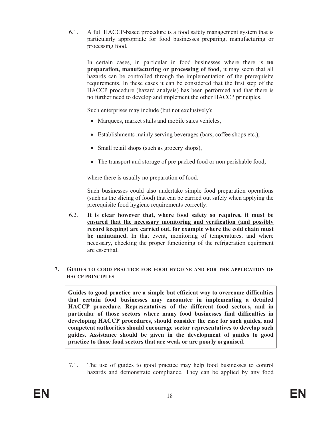6.1. A full HACCP-based procedure is a food safety management system that is particularly appropriate for food businesses preparing, manufacturing or processing food.

In certain cases, in particular in food businesses where there is **no preparation, manufacturing or processing of food**, it may seem that all hazards can be controlled through the implementation of the prerequisite requirements. In these cases it can be considered that the first step of the HACCP procedure (hazard analysis) has been performed and that there is no further need to develop and implement the other HACCP principles.

Such enterprises may include (but not exclusively):

- Marquees, market stalls and mobile sales vehicles,
- $\bullet$  Establishments mainly serving beverages (bars, coffee shops etc.),
- Small retail shops (such as grocery shops),
- The transport and storage of pre-packed food or non perishable food,

where there is usually no preparation of food.

Such businesses could also undertake simple food preparation operations (such as the slicing of food) that can be carried out safely when applying the prerequisite food hygiene requirements correctly.

- 6.2. **It is clear however that, where food safety so requires, it must be ensured that the necessary monitoring and verification (and possibly record keeping) are carried out, for example where the cold chain must be maintained.** In that event, monitoring of temperatures, and where necessary, checking the proper functioning of the refrigeration equipment are essential.
- **7. GUIDES TO GOOD PRACTICE FOR FOOD HYGIENE AND FOR THE APPLICATION OF HACCP PRINCIPLES**

**Guides to good practice are a simple but efficient way to overcome difficulties that certain food businesses may encounter in implementing a detailed HACCP procedure. Representatives of the different food sectors, and in particular of those sectors where many food businesses find difficulties in developing HACCP procedures, should consider the case for such guides, and competent authorities should encourage sector representatives to develop such guides. Assistance should be given in the development of guides to good practice to those food sectors that are weak or are poorly organised.** 

7.1. The use of guides to good practice may help food businesses to control hazards and demonstrate compliance. They can be applied by any food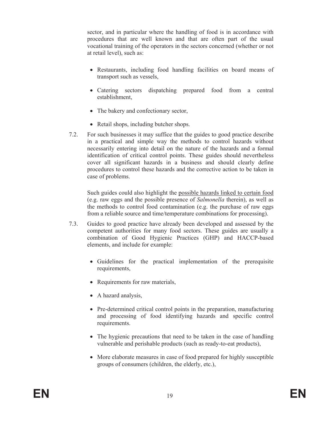sector, and in particular where the handling of food is in accordance with procedures that are well known and that are often part of the usual vocational training of the operators in the sectors concerned (whether or not at retail level), such as:

- Restaurants, including food handling facilities on board means of transport such as vessels,
- Catering sectors dispatching prepared food from a central establishment,
- The bakery and confectionary sector,
- Retail shops, including butcher shops.
- 7.2. For such businesses it may suffice that the guides to good practice describe in a practical and simple way the methods to control hazards without necessarily entering into detail on the nature of the hazards and a formal identification of critical control points. These guides should nevertheless cover all significant hazards in a business and should clearly define procedures to control these hazards and the corrective action to be taken in case of problems.

 Such guides could also highlight the possible hazards linked to certain food (e.g. raw eggs and the possible presence of *Salmonella* therein), as well as the methods to control food contamination (e.g. the purchase of raw eggs from a reliable source and time/temperature combinations for processing).

- 7.3. Guides to good practice have already been developed and assessed by the competent authorities for many food sectors. These guides are usually a combination of Good Hygienic Practices (GHP) and HACCP-based elements, and include for example:
	- Guidelines for the practical implementation of the prerequisite requirements,
	- Requirements for raw materials,
	- $\bullet$  A hazard analysis,
	- Pre-determined critical control points in the preparation, manufacturing and processing of food identifying hazards and specific control requirements.
	- The hygienic precautions that need to be taken in the case of handling vulnerable and perishable products (such as ready-to-eat products),
	- More elaborate measures in case of food prepared for highly susceptible groups of consumers (children, the elderly, etc.),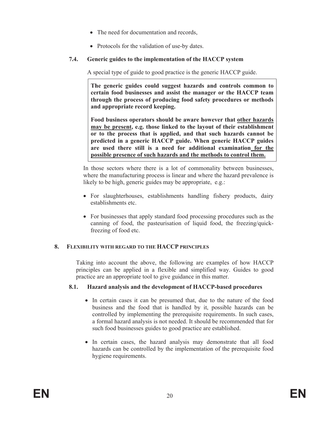- The need for documentation and records,
- Protocols for the validation of use-by dates.

## **7.4. Generic guides to the implementation of the HACCP system**

A special type of guide to good practice is the generic HACCP guide.

**The generic guides could suggest hazards and controls common to certain food businesses and assist the manager or the HACCP team through the process of producing food safety procedures or methods and appropriate record keeping.** 

**Food business operators should be aware however that other hazards may be present, e.g. those linked to the layout of their establishment or to the process that is applied, and that such hazards cannot be predicted in a generic HACCP guide. When generic HACCP guides are used there still is a need for additional examination for the possible presence of such hazards and the methods to control them.**

In those sectors where there is a lot of commonality between businesses, where the manufacturing process is linear and where the hazard prevalence is likely to be high, generic guides may be appropriate, e.g.:

- For slaughterhouses, establishments handling fishery products, dairy establishments etc.
- For businesses that apply standard food processing procedures such as the canning of food, the pasteurisation of liquid food, the freezing/quickfreezing of food etc.

#### **8. FLEXIBILITY WITH REGARD TO THE HACCP PRINCIPLES**

Taking into account the above, the following are examples of how HACCP principles can be applied in a flexible and simplified way. Guides to good practice are an appropriate tool to give guidance in this matter.

#### **8.1. Hazard analysis and the development of HACCP-based procedures**

- In certain cases it can be presumed that, due to the nature of the food business and the food that is handled by it, possible hazards can be controlled by implementing the prerequisite requirements. In such cases, a formal hazard analysis is not needed. It should be recommended that for such food businesses guides to good practice are established.
- In certain cases, the hazard analysis may demonstrate that all food hazards can be controlled by the implementation of the prerequisite food hygiene requirements.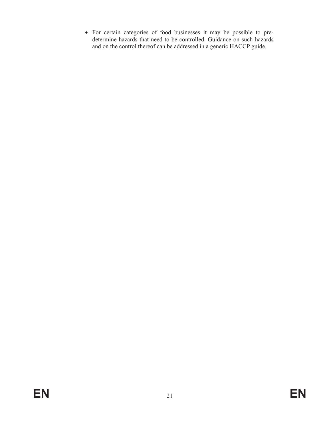x For certain categories of food businesses it may be possible to predetermine hazards that need to be controlled. Guidance on such hazards and on the control thereof can be addressed in a generic HACCP guide.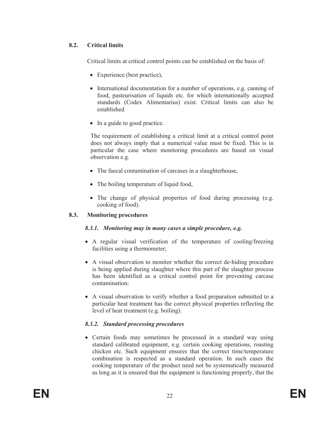## **8.2. Critical limits**

Critical limits at critical control points can be established on the basis of:

- Experience (best practice),
- International documentation for a number of operations, e.g. canning of food, pasteurisation of liquids etc. for which internationally accepted standards (Codex Alimentarius) exist. Critical limits can also be established
- In a guide to good practice.

The requirement of establishing a critical limit at a critical control point does not always imply that a numerical value must be fixed. This is in particular the case where monitoring procedures are based on visual observation e.g.

- The faecal contamination of carcases in a slaughterhouse,
- The boiling temperature of liquid food,
- The change of physical properties of food during processing (e.g. cooking of food).

#### **8.3. Monitoring procedures**

#### *8.3.1. Monitoring may in many cases a simple procedure, e.g.*

- A regular visual verification of the temperature of cooling/freezing facilities using a thermometer;
- A visual observation to monitor whether the correct de-hiding procedure is being applied during slaughter where this part of the slaughter process has been identified as a critical control point for preventing carcase contamination;
- A visual observation to verify whether a food preparation submitted to a particular heat treatment has the correct physical properties reflecting the level of heat treatment (e.g. boiling).

#### *8.3.2. Standard processing procedures*

• Certain foods may sometimes be processed in a standard way using standard calibrated equipment, e.g. certain cooking operations, roasting chicken etc. Such equipment ensures that the correct time/temperature combination is respected as a standard operation. In such cases the cooking temperature of the product need not be systematically measured as long as it is ensured that the equipment is functioning properly, that the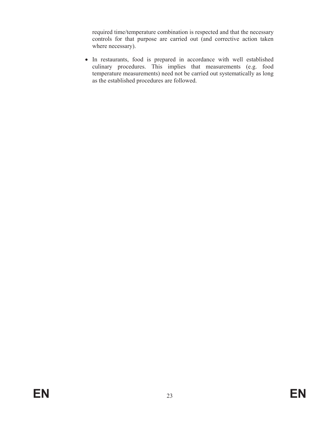required time/temperature combination is respected and that the necessary controls for that purpose are carried out (and corrective action taken where necessary).

• In restaurants, food is prepared in accordance with well established culinary procedures. This implies that measurements (e.g. food temperature measurements) need not be carried out systematically as long as the established procedures are followed.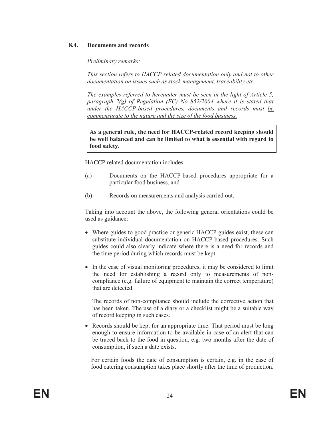#### **8.4. Documents and records**

#### *Preliminary remarks:*

*This section refers to HACCP related documentation only and not to other documentation on issues such as stock management, traceability etc.* 

*The examples referred to hereunder must be seen in the light of Article 5, paragraph 2(g) of Regulation (EC) No 852/2004 where it is stated that under the HACCP-based procedures, documents and records must be commensurate to the nature and the size of the food business.*

**As a general rule, the need for HACCP-related record keeping should be well balanced and can be limited to what is essential with regard to food safety.** 

HACCP related documentation includes:

- (a) Documents on the HACCP-based procedures appropriate for a particular food business, and
- (b) Records on measurements and analysis carried out.

Taking into account the above, the following general orientations could be used as guidance:

- Where guides to good practice or generic HACCP guides exist, these can substitute individual documentation on HACCP-based procedures. Such guides could also clearly indicate where there is a need for records and the time period during which records must be kept.
- In the case of visual monitoring procedures, it may be considered to limit the need for establishing a record only to measurements of noncompliance (e.g. failure of equipment to maintain the correct temperature) that are detected.

The records of non-compliance should include the corrective action that has been taken. The use of a diary or a checklist might be a suitable way of record keeping in such cases.

• Records should be kept for an appropriate time. That period must be long enough to ensure information to be available in case of an alert that can be traced back to the food in question, e.g. two months after the date of consumption, if such a date exists.

For certain foods the date of consumption is certain, e.g. in the case of food catering consumption takes place shortly after the time of production.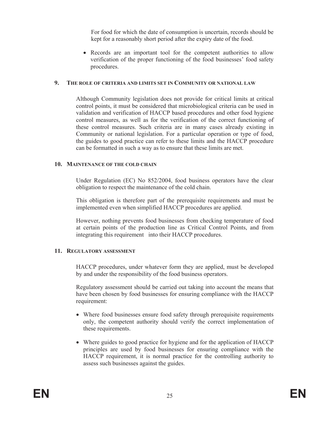For food for which the date of consumption is uncertain, records should be kept for a reasonably short period after the expiry date of the food.

• Records are an important tool for the competent authorities to allow verification of the proper functioning of the food businesses' food safety procedures.

#### **9. THE ROLE OF CRITERIA AND LIMITS SET IN COMMUNITY OR NATIONAL LAW**

Although Community legislation does not provide for critical limits at critical control points, it must be considered that microbiological criteria can be used in validation and verification of HACCP based procedures and other food hygiene control measures, as well as for the verification of the correct functioning of these control measures. Such criteria are in many cases already existing in Community or national legislation. For a particular operation or type of food, the guides to good practice can refer to these limits and the HACCP procedure can be formatted in such a way as to ensure that these limits are met.

#### **10. MAINTENANCE OF THE COLD CHAIN**

Under Regulation (EC) No 852/2004, food business operators have the clear obligation to respect the maintenance of the cold chain.

This obligation is therefore part of the prerequisite requirements and must be implemented even when simplified HACCP procedures are applied.

However, nothing prevents food businesses from checking temperature of food at certain points of the production line as Critical Control Points, and from integrating this requirement into their HACCP procedures.

#### **11. REGULATORY ASSESSMENT**

HACCP procedures, under whatever form they are applied, must be developed by and under the responsibility of the food business operators.

Regulatory assessment should be carried out taking into account the means that have been chosen by food businesses for ensuring compliance with the HACCP requirement:

- Where food businesses ensure food safety through prerequisite requirements only, the competent authority should verify the correct implementation of these requirements.
- Where guides to good practice for hygiene and for the application of HACCP principles are used by food businesses for ensuring compliance with the HACCP requirement, it is normal practice for the controlling authority to assess such businesses against the guides.